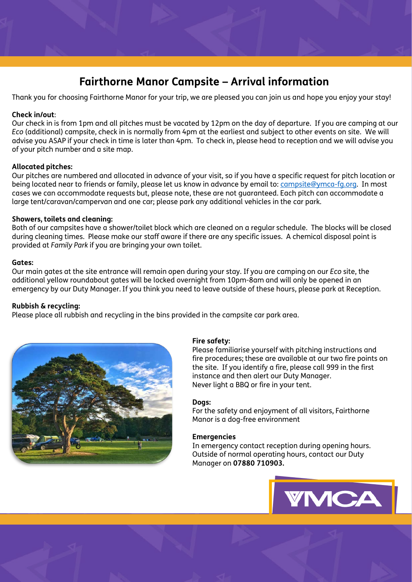# **Fairthorne Manor Campsite – Arrival information**

Thank you for choosing Fairthorne Manor for your trip, we are pleased you can join us and hope you enjoy your stay!

## **Check in/out**:

Our check in is from 1pm and all pitches must be vacated by 12pm on the day of departure. If you are camping at our *Eco* (additional) campsite, check in is normally from 4pm at the earliest and subject to other events on site. We will advise you ASAP if your check in time is later than 4pm. To check in, please head to reception and we will advise you of your pitch number and a site map.

### **Allocated pitches:**

Our pitches are numbered and allocated in advance of your visit, so if you have a specific request for pitch location or being located near to friends or family, please let us know in advance by email to: [campsite@ymca-fg.org](mailto:campsite@ymca-fg.org). In most cases we can accommodate requests but, please note, these are not guaranteed. Each pitch can accommodate a large tent/caravan/campervan and one car; please park any additional vehicles in the car park.

### **Showers, toilets and cleaning:**

Both of our campsites have a shower/toilet block which are cleaned on a regular schedule. The blocks will be closed during cleaning times. Please make our staff aware if there are any specific issues. A chemical disposal point is provided at *Family Park* if you are bringing your own toilet.

### **Gates:**

Our main gates at the site entrance will remain open during your stay. If you are camping on our *Eco* site, the additional yellow roundabout gates will be locked overnight from 10pm-8am and will only be opened in an emergency by our Duty Manager. If you think you need to leave outside of these hours, please park at Reception.

### **Rubbish & recycling:**

Please place all rubbish and recycling in the bins provided in the campsite car park area.



### **Fire safety:**

Please familiarise yourself with pitching instructions and fire procedures; these are available at our two fire points on the site. If you identify a fire, please call 999 in the first instance and then alert our Duty Manager. Never light a BBQ or fire in your tent.

### **Dogs:**

For the safety and enjoyment of all visitors, Fairthorne Manor is a dog-free environment

### **Emergencies**

In emergency contact reception during opening hours. Outside of normal operating hours, contact our Duty Manager on **07880 710903.**